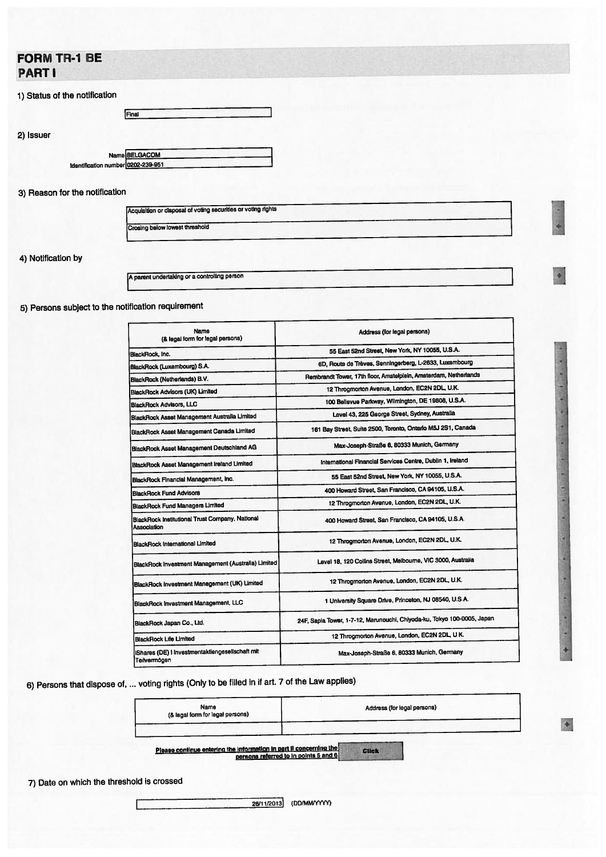# FORM TR-1 BE PART I

## 1) Status of the notification

2) Issuer

Name BELGACOM Identification number<sup>0202-239-951</sup>

Final

## 3) Reason for the notification

| Acquisition or disposal of voting securities or voting rights |  |
|---------------------------------------------------------------|--|
|                                                               |  |
|                                                               |  |
|                                                               |  |
| Crosing below lowest threshold                                |  |

-1

4) Notification by

<sup>A</sup> paren<sup>t</sup> undertaking or <sup>a</sup> controlling person

# 5) Persons subject to the notification requirement

| Name<br>(& legal form for legal persons)                        | Address (for legal persons)                                             |  |  |  |
|-----------------------------------------------------------------|-------------------------------------------------------------------------|--|--|--|
| BlackRock, Inc.                                                 | 55 East 52nd Street, New York, NY 10055, U.S.A.                         |  |  |  |
| BlackRock (Luxembourg) S.A.                                     | 6D, Route de Trèves, Senningerberg, L-2633, Luxembourg                  |  |  |  |
| BlackRock (Netherlands) B.V.                                    | Rembrandt Tower, 17th floor, Amstelplein, Amsterdam, Netherlands        |  |  |  |
| BlackRock Advisors (UK) Limited                                 | 12 Throgmorton Avenue, London, EC2N 2DL, U.K.                           |  |  |  |
| <b>BlackRock Advisors, LLC</b>                                  | 100 Bellevue Parkway, Wilmington, DE 19808, U.S.A.                      |  |  |  |
| BlackRock Asset Management Australia Limited                    | Level 43, 225 George Street, Sydney, Australia                          |  |  |  |
| BlackRock Asset Management Canada Limited                       | 161 Bay Street, Suite 2500, Toronto, Ontario M5J 2S1, Canada            |  |  |  |
| <b>BlackRock Asset Management Deutschland AG</b>                | Max-Joseph-Straße 6, 80333 Munich, Germany                              |  |  |  |
| BlackRock Asset Management Ireland Limited                      | International Financial Services Centre, Dublin 1, Ireland              |  |  |  |
| BlackRock Financial Management, Inc.                            | 55 East 52nd Street, New York, NY 10055, U.S.A.                         |  |  |  |
| <b>BlackRock Fund Advisors</b>                                  | 400 Howard Street, San Francisco, CA 94105, U.S.A.                      |  |  |  |
| BlackRock Fund Managers Limited                                 | 12 Throgmorton Avenue, London, EC2N 2DL, U.K.                           |  |  |  |
| BlackRock Institutional Trust Company, National<br>Association  | 400 Howard Street, San Francisco, CA 94105, U.S.A.                      |  |  |  |
| <b>BlackRock International Limited</b>                          | 12 Throgmorton Avenue, London, EC2N 2DL, U.K.                           |  |  |  |
| BlackRock Investment Management (Australia) Limited             | Level 18, 120 Collins Street, Melbourne, VIC 3000, Australia            |  |  |  |
| BlackRock Investment Management (UK) Limited                    | 12 Throgmorton Avenue, London, EC2N 2DL, U.K.                           |  |  |  |
| BlackRock Investment Management, LLC                            | 1 University Square Drive, Princeton, NJ 08540, U.S.A.                  |  |  |  |
| BlackRock Japan Co., Ltd.                                       | 24F, Sapia Tower, 1-7-12, Marunouchi, Chiyoda-ku, Tokyo 100-0005, Japan |  |  |  |
| <b>BlackRock Life Limited</b>                                   | 12 Throgmorton Avenue, London, EC2N 2DL, U.K.                           |  |  |  |
| IShares (DE) I Investmentaktiengesellschaft mit<br>Teilvermögen | Max-Joseph-Straße 6, 80333 Munich, Germany                              |  |  |  |

6) Persons that dispose of, ... voting rights (Only to be filled in if art. <sup>7</sup> of the Law applies)

| Name<br>(& legal form for legal persons) | Address (for legal persons) |  |  |
|------------------------------------------|-----------------------------|--|--|
|                                          |                             |  |  |

Please continue entering the information in part il concerning the<br>persons referred to in points 5 and 6 Click

7) Date on which the threshold is crossed

I

 $\bullet$ 

**INDEX** 

**I** 

ė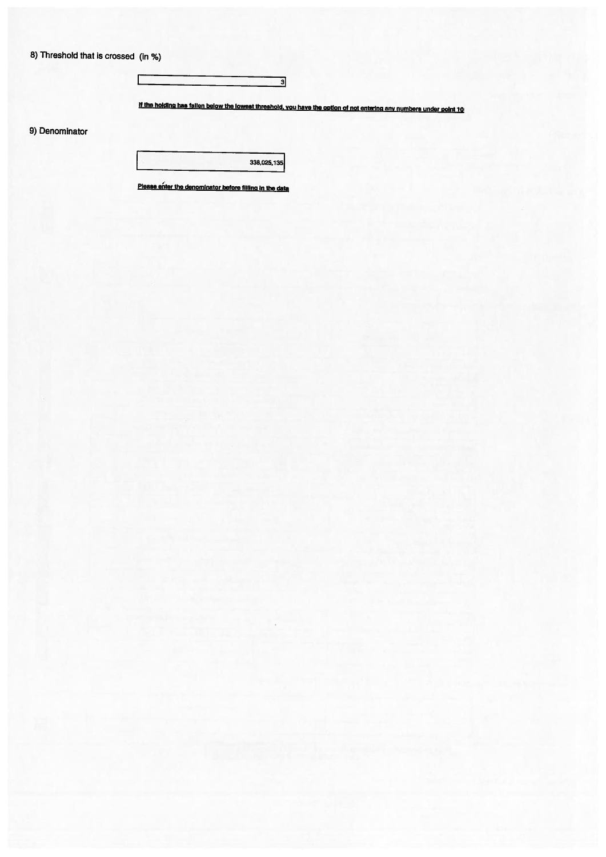8) Threshold that is crossed (in %)

 $\Gamma$ 

3

if the holding has fallen below the lowest threshold, you have the option of not entering any numbers under point 10

9) Denominator

338,025,135

Please enter the denominator before filling in the data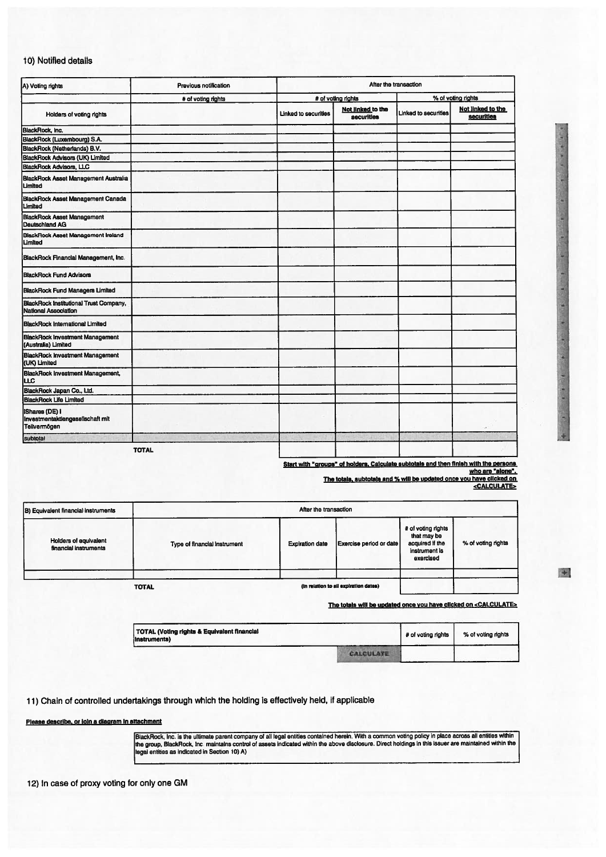#### 10) Notified details

| A) Voting rights                                                          | Previous notification | After the transaction                                   |                    |                                                         |  |
|---------------------------------------------------------------------------|-----------------------|---------------------------------------------------------|--------------------|---------------------------------------------------------|--|
|                                                                           | # of voting rights    |                                                         | # of voting rights | % of voting rights                                      |  |
| Holders of voting rights                                                  |                       | Not linked to the<br>Linked to securities<br>securities |                    | Not linked to the<br>Linked to securities<br>securities |  |
| BlackRock, Inc.                                                           |                       |                                                         |                    |                                                         |  |
| BlackRock (Luxembourg) S.A.                                               |                       |                                                         |                    |                                                         |  |
| BlackRock (Netherlands) B.V.                                              |                       |                                                         |                    |                                                         |  |
| BlackRock Advisors (UK) Limited                                           |                       |                                                         |                    |                                                         |  |
| <b>BlackRock Advisors, LLC</b>                                            |                       |                                                         |                    |                                                         |  |
| BlackRock Asset Management Australia<br>Limited                           |                       |                                                         |                    |                                                         |  |
| <b>BlackRock Asset Management Canada</b><br>Limited                       |                       |                                                         |                    |                                                         |  |
| BlackRock Asset Management<br>Deutschland AG                              |                       |                                                         |                    |                                                         |  |
| BlackRock Asset Management Ireland<br>Limited                             |                       |                                                         |                    |                                                         |  |
| BlackRock Financial Management, Inc.                                      |                       |                                                         |                    |                                                         |  |
| <b>BlackRock Fund Advisors</b>                                            |                       |                                                         |                    |                                                         |  |
| <b>BlackRock Fund Managers Limited</b>                                    |                       |                                                         |                    |                                                         |  |
| BlackRock Institutional Trust Company,<br><b>National Association</b>     |                       |                                                         |                    |                                                         |  |
| <b>BlackRock International Limited</b>                                    |                       |                                                         |                    |                                                         |  |
| <b>BlackRock Investment Management</b><br>(Australia) Limited             |                       |                                                         |                    |                                                         |  |
| <b>BlackRock Investment Management</b><br>(UK) Limited                    |                       |                                                         |                    |                                                         |  |
| BlackRock Investment Management,<br>Iшс                                   |                       |                                                         |                    |                                                         |  |
| BlackRock Japan Co., Ltd.                                                 |                       |                                                         |                    |                                                         |  |
| <b>BlackRock Life Limited</b>                                             |                       |                                                         |                    |                                                         |  |
| <b>IShares (DE) I</b><br>Investmentaktiengesellschaft mit<br>Teilvermögen |                       |                                                         |                    |                                                         |  |
|                                                                           |                       |                                                         |                    |                                                         |  |
| subtotal                                                                  | <b>TOTAL</b>          |                                                         |                    |                                                         |  |

Start with "groups" of holders. Calculate subtotals and then finish with the persons<br>"who are "aione

The totals, subtotals and % will be updated once you have clicked on<br>- cALCULATE>

| After the transaction        |                        |                         |                                                                                    |                    |
|------------------------------|------------------------|-------------------------|------------------------------------------------------------------------------------|--------------------|
| Type of financial instrument | <b>Expiration date</b> | Exercise period or date | # of voting rights<br>that may be<br>acquired if the<br>instrument is<br>beaionexe | % of voting rights |
|                              |                        |                         |                                                                                    |                    |
|                              | <b>TOTAL</b>           |                         | (in relation to all expiration dates)                                              |                    |

The totals will be updated once you have clicked on <CALCULATE>

| TOTAL (Voting rights & Equivalent financial<br>instruments) |           | # of voting rights | % of voting rights |
|-------------------------------------------------------------|-----------|--------------------|--------------------|
|                                                             | CALCULATE |                    |                    |

11) Chain of controlled undertakings through which the holding is effectively held, if applicable

Please describe, or join a diagram in attachment

BlackRock, Inc. is the ultimate parent company of all legal entities contained herein. With a common voting policy in place across all entities within<br>the group, BlackRock, Inc. maintains control of assets indicated within

12) In case of proxy voting for only one GM

 $\mathbf{r}$ 

I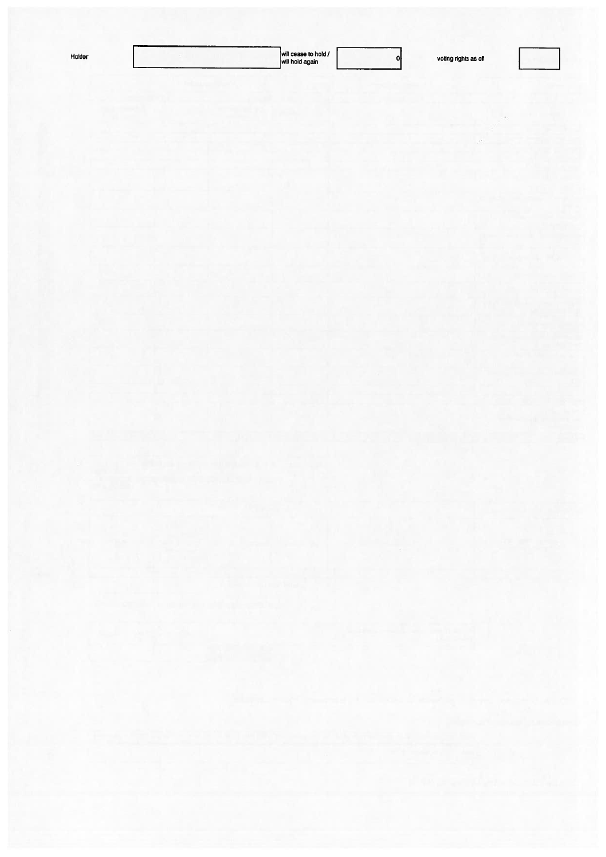| ſø<br>1101 |  |
|------------|--|
|            |  |

 $\overline{\phantom{0}}$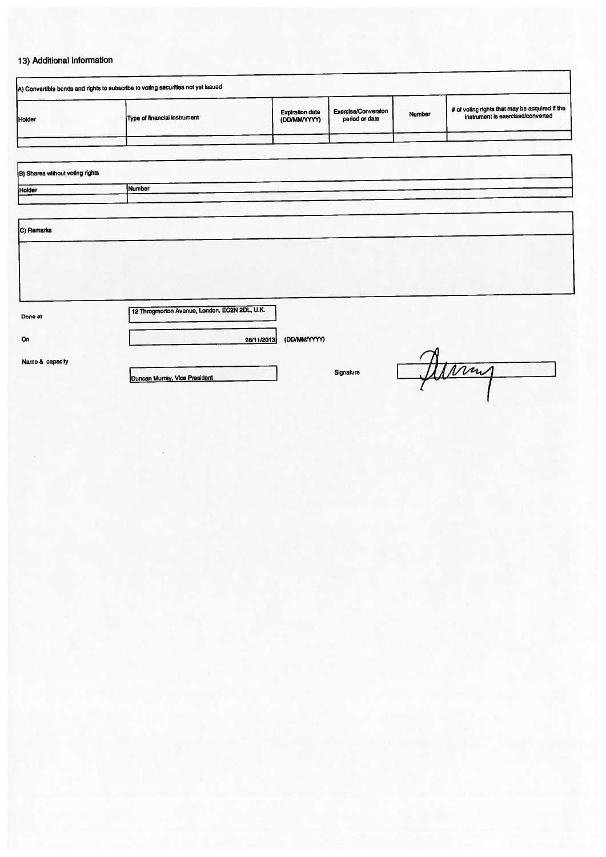# 13) Additional information

|               | A) Convertible bonds and rights to subscribe to voting securities not yet issued |                                        |                                       |        |                                                                                     |
|---------------|----------------------------------------------------------------------------------|----------------------------------------|---------------------------------------|--------|-------------------------------------------------------------------------------------|
| <b>Holder</b> | Type of financial instrument                                                     | <b>Expiration date</b><br>(DD/MM/YYYY) | Exercise/Conversion<br>period or date | Number | # of voting rights that may be acquired if the<br>instrument is exercised/converted |
|               |                                                                                  |                                        |                                       |        |                                                                                     |
|               |                                                                                  |                                        |                                       |        |                                                                                     |

| B) Shares without voting rights |        |
|---------------------------------|--------|
| Holder                          | Number |
|                                 |        |
| C) Remarks                      |        |
|                                 |        |
|                                 |        |

On

Done at )12 Throgmorton Avenue, London, EC2N 2DL UK,

28/11/2013 (DD/MM/YYYY)

Name & capacity

**Duncan Murray, Vice President Signature** Signature

Alving

٦